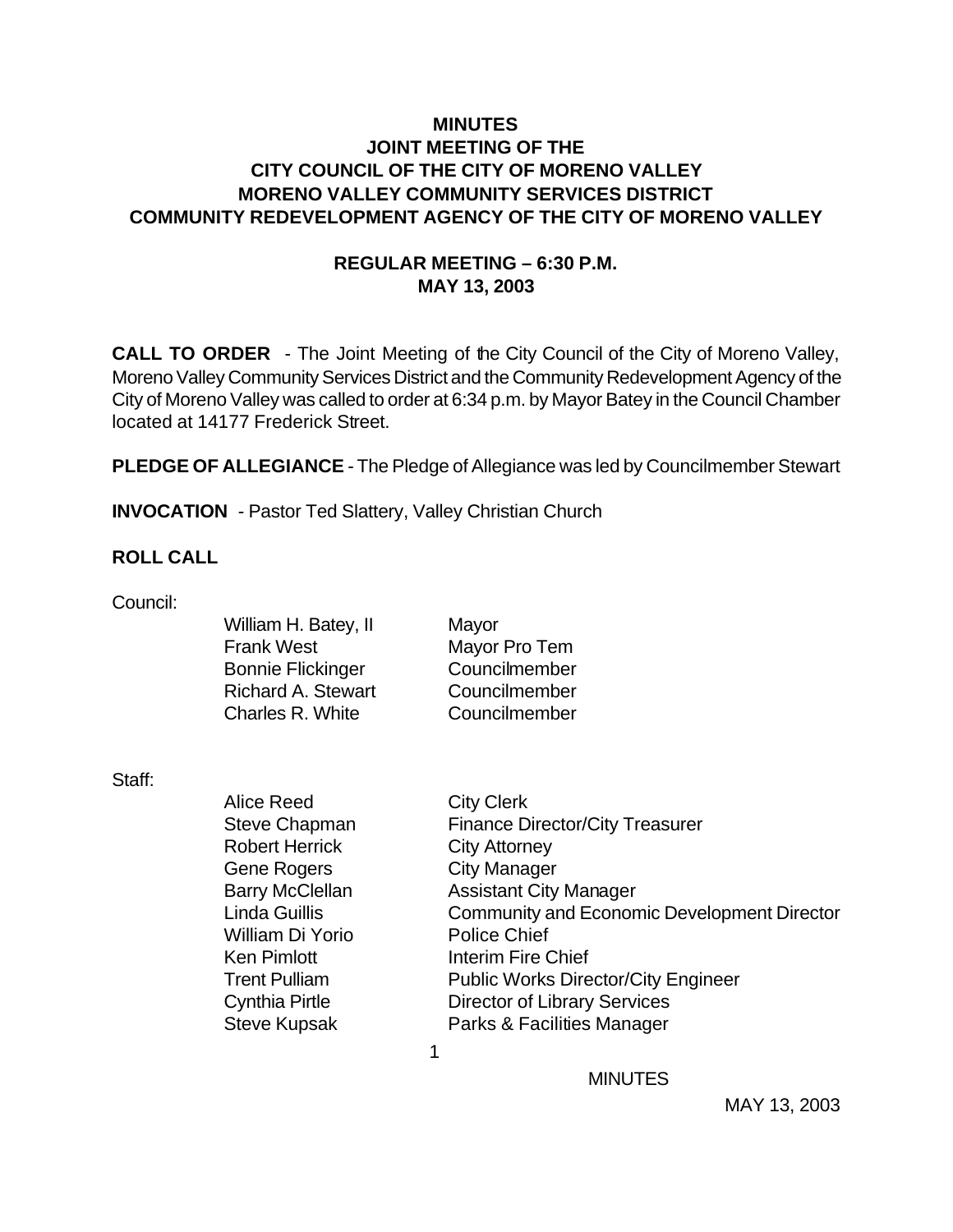## **MINUTES JOINT MEETING OF THE CITY COUNCIL OF THE CITY OF MORENO VALLEY MORENO VALLEY COMMUNITY SERVICES DISTRICT COMMUNITY REDEVELOPMENT AGENCY OF THE CITY OF MORENO VALLEY**

## **REGULAR MEETING – 6:30 P.M. MAY 13, 2003**

**CALL TO ORDER** - The Joint Meeting of the City Council of the City of Moreno Valley, Moreno Valley Community Services District and the Community Redevelopment Agency of the City of Moreno Valley was called to order at 6:34 p.m. by Mayor Batey in the Council Chamber located at 14177 Frederick Street.

**PLEDGE OF ALLEGIANCE** - The Pledge of Allegiance was led by Councilmember Stewart

**INVOCATION** - Pastor Ted Slattery, Valley Christian Church

#### **ROLL CALL**

Council:

| William H. Batey, II      | Mayor         |
|---------------------------|---------------|
| <b>Frank West</b>         | Mayor Pro Tem |
| <b>Bonnie Flickinger</b>  | Councilmember |
| <b>Richard A. Stewart</b> | Councilmember |
| Charles R. White          | Councilmember |
|                           |               |

Staff:

| Alice Reed             | <b>City Clerk</b>                                  |
|------------------------|----------------------------------------------------|
| <b>Steve Chapman</b>   | <b>Finance Director/City Treasurer</b>             |
| <b>Robert Herrick</b>  | <b>City Attorney</b>                               |
| <b>Gene Rogers</b>     | <b>City Manager</b>                                |
| <b>Barry McClellan</b> | <b>Assistant City Manager</b>                      |
| <b>Linda Guillis</b>   | <b>Community and Economic Development Director</b> |
| William Di Yorio       | <b>Police Chief</b>                                |
| <b>Ken Pimlott</b>     | <b>Interim Fire Chief</b>                          |
| <b>Trent Pulliam</b>   | <b>Public Works Director/City Engineer</b>         |
| <b>Cynthia Pirtle</b>  | <b>Director of Library Services</b>                |
| <b>Steve Kupsak</b>    | Parks & Facilities Manager                         |
|                        |                                                    |
|                        |                                                    |

**MINUTES**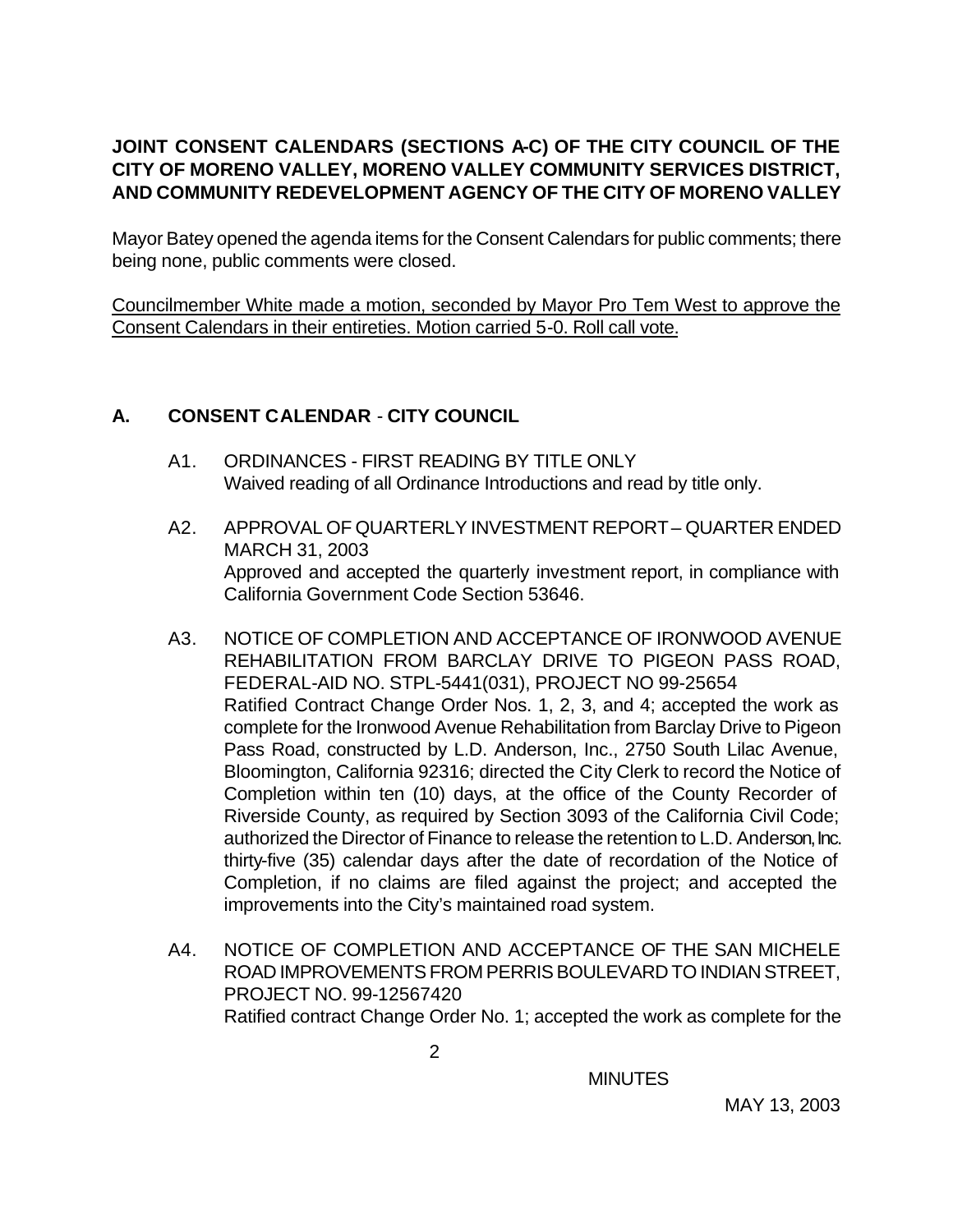# **JOINT CONSENT CALENDARS (SECTIONS A-C) OF THE CITY COUNCIL OF THE CITY OF MORENO VALLEY, MORENO VALLEY COMMUNITY SERVICES DISTRICT, AND COMMUNITY REDEVELOPMENT AGENCY OF THE CITY OF MORENO VALLEY**

Mayor Batey opened the agenda items for the Consent Calendars for public comments; there being none, public comments were closed.

Councilmember White made a motion, seconded by Mayor Pro Tem West to approve the Consent Calendars in their entireties. Motion carried 5-0. Roll call vote.

## **A. CONSENT CALENDAR** - **CITY COUNCIL**

- A1. ORDINANCES FIRST READING BY TITLE ONLY Waived reading of all Ordinance Introductions and read by title only.
- A2. APPROVAL OF QUARTERLY INVESTMENT REPORT QUARTER ENDED MARCH 31, 2003 Approved and accepted the quarterly investment report, in compliance with California Government Code Section 53646.
- A3. NOTICE OF COMPLETION AND ACCEPTANCE OF IRONWOOD AVENUE REHABILITATION FROM BARCLAY DRIVE TO PIGEON PASS ROAD, FEDERAL-AID NO. STPL-5441(031), PROJECT NO 99-25654 Ratified Contract Change Order Nos. 1, 2, 3, and 4; accepted the work as complete for the Ironwood Avenue Rehabilitation from Barclay Drive to Pigeon Pass Road, constructed by L.D. Anderson, Inc., 2750 South Lilac Avenue, Bloomington, California 92316; directed the City Clerk to record the Notice of Completion within ten (10) days, at the office of the County Recorder of Riverside County, as required by Section 3093 of the California Civil Code; authorized the Director of Finance to release the retention to L.D. Anderson, Inc. thirty-five (35) calendar days after the date of recordation of the Notice of Completion, if no claims are filed against the project; and accepted the improvements into the City's maintained road system.
- A4. NOTICE OF COMPLETION AND ACCEPTANCE OF THE SAN MICHELE ROAD IMPROVEMENTS FROM PERRIS BOULEVARD TO INDIAN STREET, PROJECT NO. 99-12567420 Ratified contract Change Order No. 1; accepted the work as complete for the

**MINUTES**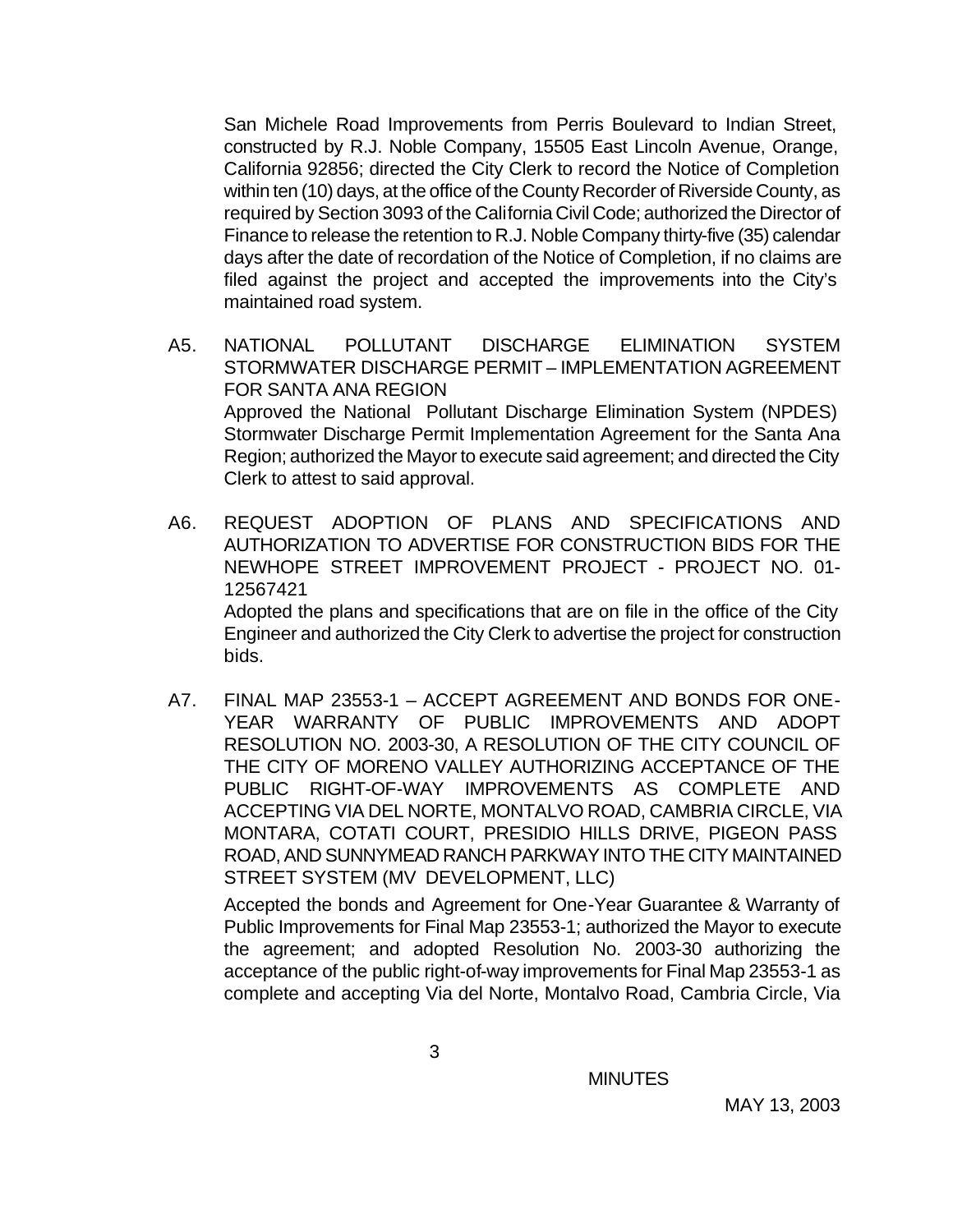San Michele Road Improvements from Perris Boulevard to Indian Street, constructed by R.J. Noble Company, 15505 East Lincoln Avenue, Orange, California 92856; directed the City Clerk to record the Notice of Completion within ten (10) days, at the office of the County Recorder of Riverside County, as required by Section 3093 of the California Civil Code; authorized the Director of Finance to release the retention to R.J. Noble Company thirty-five (35) calendar days after the date of recordation of the Notice of Completion, if no claims are filed against the project and accepted the improvements into the City's maintained road system.

- A5. NATIONAL POLLUTANT DISCHARGE ELIMINATION SYSTEM STORMWATER DISCHARGE PERMIT – IMPLEMENTATION AGREEMENT FOR SANTA ANA REGION Approved the National Pollutant Discharge Elimination System (NPDES) Stormwater Discharge Permit Implementation Agreement for the Santa Ana Region; authorized the Mayor to execute said agreement; and directed the City Clerk to attest to said approval.
- A6. REQUEST ADOPTION OF PLANS AND SPECIFICATIONS AND AUTHORIZATION TO ADVERTISE FOR CONSTRUCTION BIDS FOR THE NEWHOPE STREET IMPROVEMENT PROJECT - PROJECT NO. 01- 12567421 Adopted the plans and specifications that are on file in the office of the City Engineer and authorized the City Clerk to advertise the project for construction bids.
- A7. FINAL MAP 23553-1 ACCEPT AGREEMENT AND BONDS FOR ONE-YEAR WARRANTY OF PUBLIC IMPROVEMENTS AND ADOPT RESOLUTION NO. 2003-30, A RESOLUTION OF THE CITY COUNCIL OF THE CITY OF MORENO VALLEY AUTHORIZING ACCEPTANCE OF THE PUBLIC RIGHT-OF-WAY IMPROVEMENTS AS COMPLETE AND ACCEPTING VIA DEL NORTE, MONTALVO ROAD, CAMBRIA CIRCLE, VIA MONTARA, COTATI COURT, PRESIDIO HILLS DRIVE, PIGEON PASS ROAD, AND SUNNYMEAD RANCH PARKWAY INTO THE CITY MAINTAINED STREET SYSTEM (MV DEVELOPMENT, LLC)

Accepted the bonds and Agreement for One-Year Guarantee & Warranty of Public Improvements for Final Map 23553-1; authorized the Mayor to execute the agreement; and adopted Resolution No. 2003-30 authorizing the acceptance of the public right-of-way improvements for Final Map 23553-1 as complete and accepting Via del Norte, Montalvo Road, Cambria Circle, Via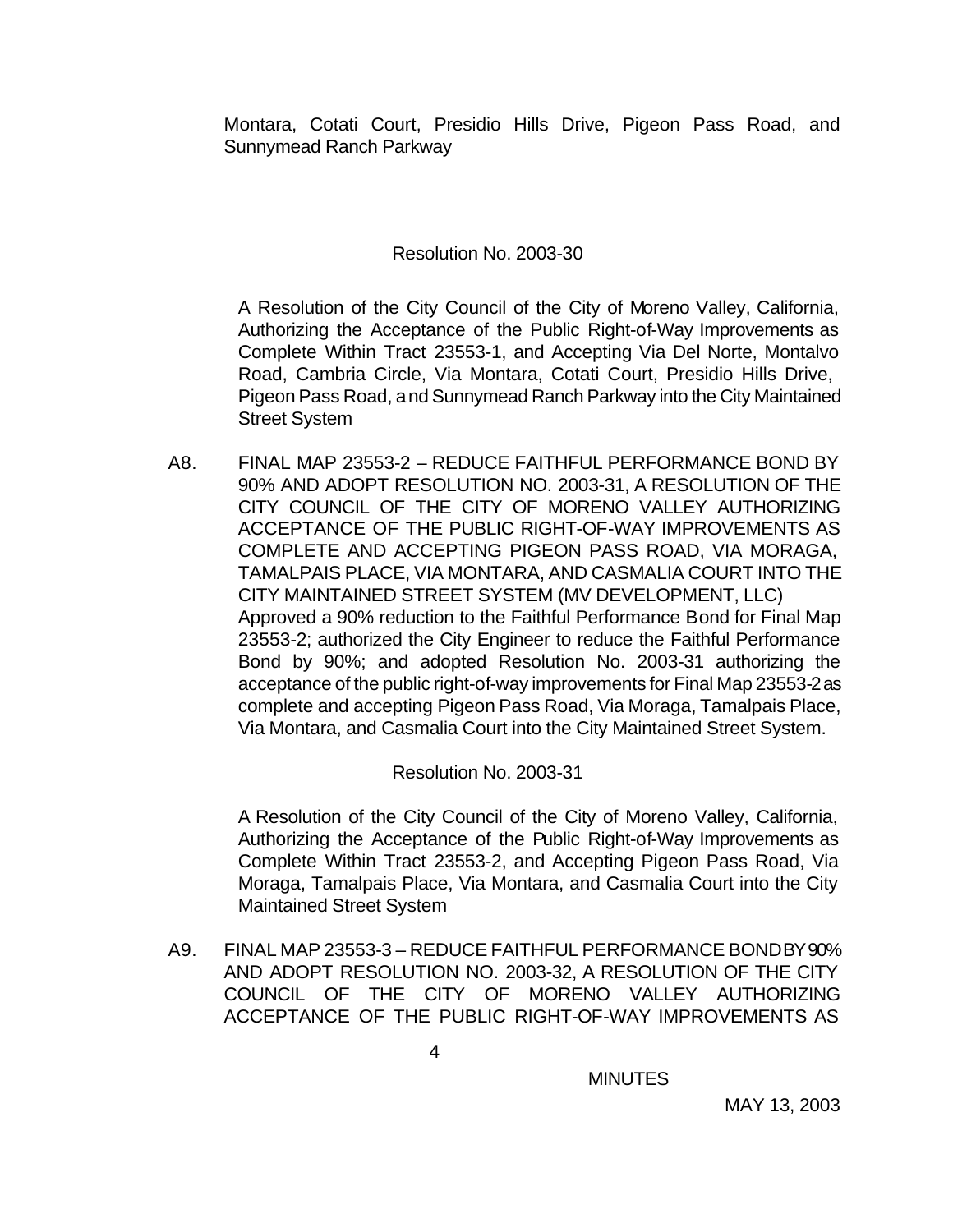Montara, Cotati Court, Presidio Hills Drive, Pigeon Pass Road, and Sunnymead Ranch Parkway

Resolution No. 2003-30

A Resolution of the City Council of the City of Moreno Valley, California, Authorizing the Acceptance of the Public Right-of-Way Improvements as Complete Within Tract 23553-1, and Accepting Via Del Norte, Montalvo Road, Cambria Circle, Via Montara, Cotati Court, Presidio Hills Drive, Pigeon Pass Road, and Sunnymead Ranch Parkway into the City Maintained Street System

A8. FINAL MAP 23553-2 – REDUCE FAITHFUL PERFORMANCE BOND BY 90% AND ADOPT RESOLUTION NO. 2003-31, A RESOLUTION OF THE CITY COUNCIL OF THE CITY OF MORENO VALLEY AUTHORIZING ACCEPTANCE OF THE PUBLIC RIGHT-OF-WAY IMPROVEMENTS AS COMPLETE AND ACCEPTING PIGEON PASS ROAD, VIA MORAGA, TAMALPAIS PLACE, VIA MONTARA, AND CASMALIA COURT INTO THE CITY MAINTAINED STREET SYSTEM (MV DEVELOPMENT, LLC) Approved a 90% reduction to the Faithful Performance Bond for Final Map 23553-2; authorized the City Engineer to reduce the Faithful Performance Bond by 90%; and adopted Resolution No. 2003-31 authorizing the acceptance of the public right-of-way improvements for Final Map 23553-2 as complete and accepting Pigeon Pass Road, Via Moraga, Tamalpais Place, Via Montara, and Casmalia Court into the City Maintained Street System.

Resolution No. 2003-31

A Resolution of the City Council of the City of Moreno Valley, California, Authorizing the Acceptance of the Public Right-of-Way Improvements as Complete Within Tract 23553-2, and Accepting Pigeon Pass Road, Via Moraga, Tamalpais Place, Via Montara, and Casmalia Court into the City Maintained Street System

A9. FINAL MAP 23553-3 – REDUCE FAITHFUL PERFORMANCE BOND BY 90% AND ADOPT RESOLUTION NO. 2003-32, A RESOLUTION OF THE CITY COUNCIL OF THE CITY OF MORENO VALLEY AUTHORIZING ACCEPTANCE OF THE PUBLIC RIGHT-OF-WAY IMPROVEMENTS AS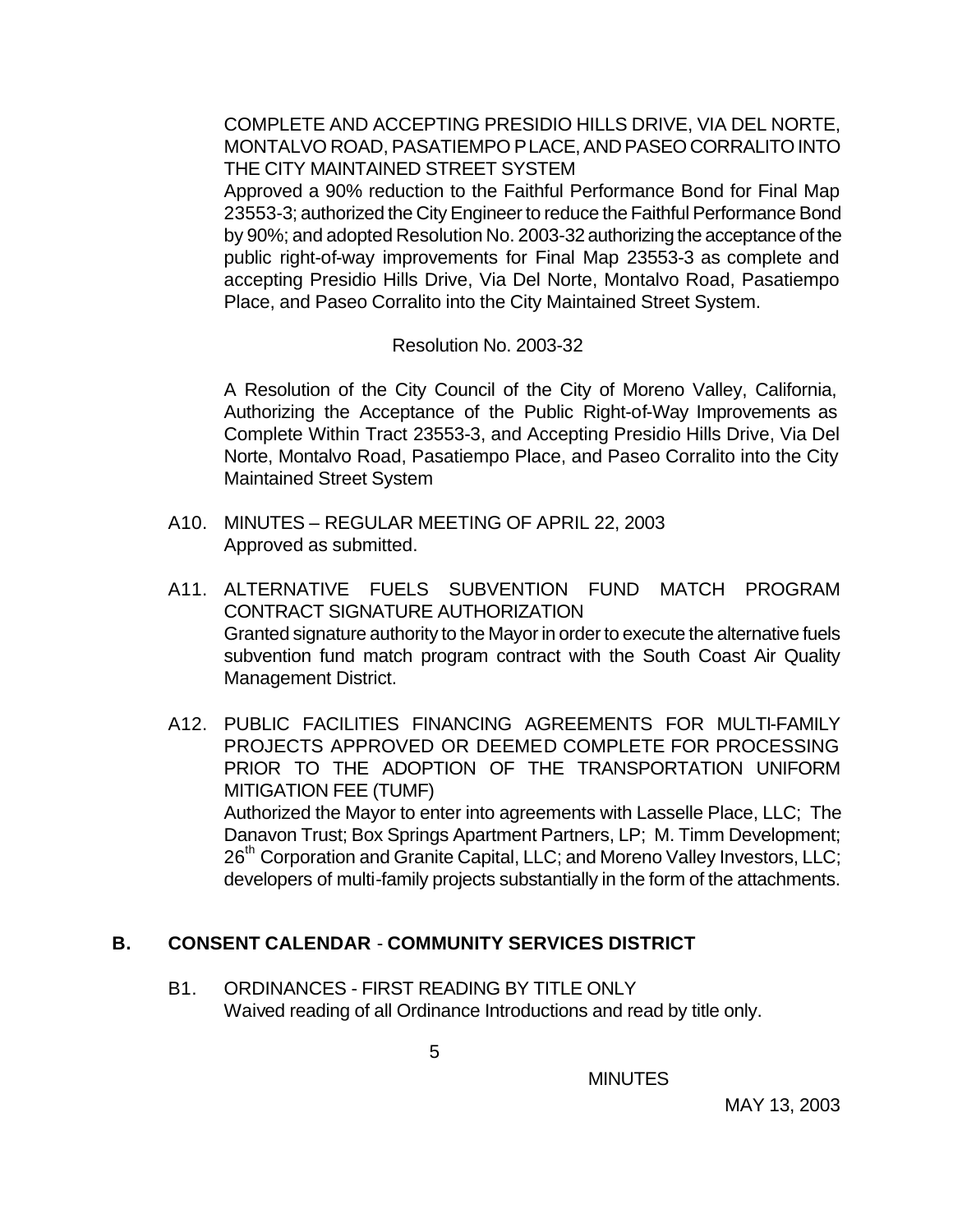COMPLETE AND ACCEPTING PRESIDIO HILLS DRIVE, VIA DEL NORTE, MONTALVO ROAD, PASATIEMPO PLACE, AND PASEO CORRALITO INTO THE CITY MAINTAINED STREET SYSTEM

Approved a 90% reduction to the Faithful Performance Bond for Final Map 23553-3; authorized the City Engineer to reduce the Faithful Performance Bond by 90%; and adopted Resolution No. 2003-32 authorizing the acceptance of the public right-of-way improvements for Final Map 23553-3 as complete and accepting Presidio Hills Drive, Via Del Norte, Montalvo Road, Pasatiempo Place, and Paseo Corralito into the City Maintained Street System.

Resolution No. 2003-32

A Resolution of the City Council of the City of Moreno Valley, California, Authorizing the Acceptance of the Public Right-of-Way Improvements as Complete Within Tract 23553-3, and Accepting Presidio Hills Drive, Via Del Norte, Montalvo Road, Pasatiempo Place, and Paseo Corralito into the City Maintained Street System

- A10. MINUTES REGULAR MEETING OF APRIL 22, 2003 Approved as submitted.
- A11. ALTERNATIVE FUELS SUBVENTION FUND MATCH PROGRAM CONTRACT SIGNATURE AUTHORIZATION Granted signature authority to the Mayor in order to execute the alternative fuels subvention fund match program contract with the South Coast Air Quality Management District.
- A12. PUBLIC FACILITIES FINANCING AGREEMENTS FOR MULTI-FAMILY PROJECTS APPROVED OR DEEMED COMPLETE FOR PROCESSING PRIOR TO THE ADOPTION OF THE TRANSPORTATION UNIFORM MITIGATION FEE (TUMF) Authorized the Mayor to enter into agreements with Lasselle Place, LLC; The Danavon Trust; Box Springs Apartment Partners, LP; M. Timm Development; 26<sup>th</sup> Corporation and Granite Capital, LLC; and Moreno Valley Investors, LLC; developers of multi-family projects substantially in the form of the attachments.

# **B. CONSENT CALENDAR** - **COMMUNITY SERVICES DISTRICT**

B1. ORDINANCES - FIRST READING BY TITLE ONLY Waived reading of all Ordinance Introductions and read by title only.

 $\sim$  5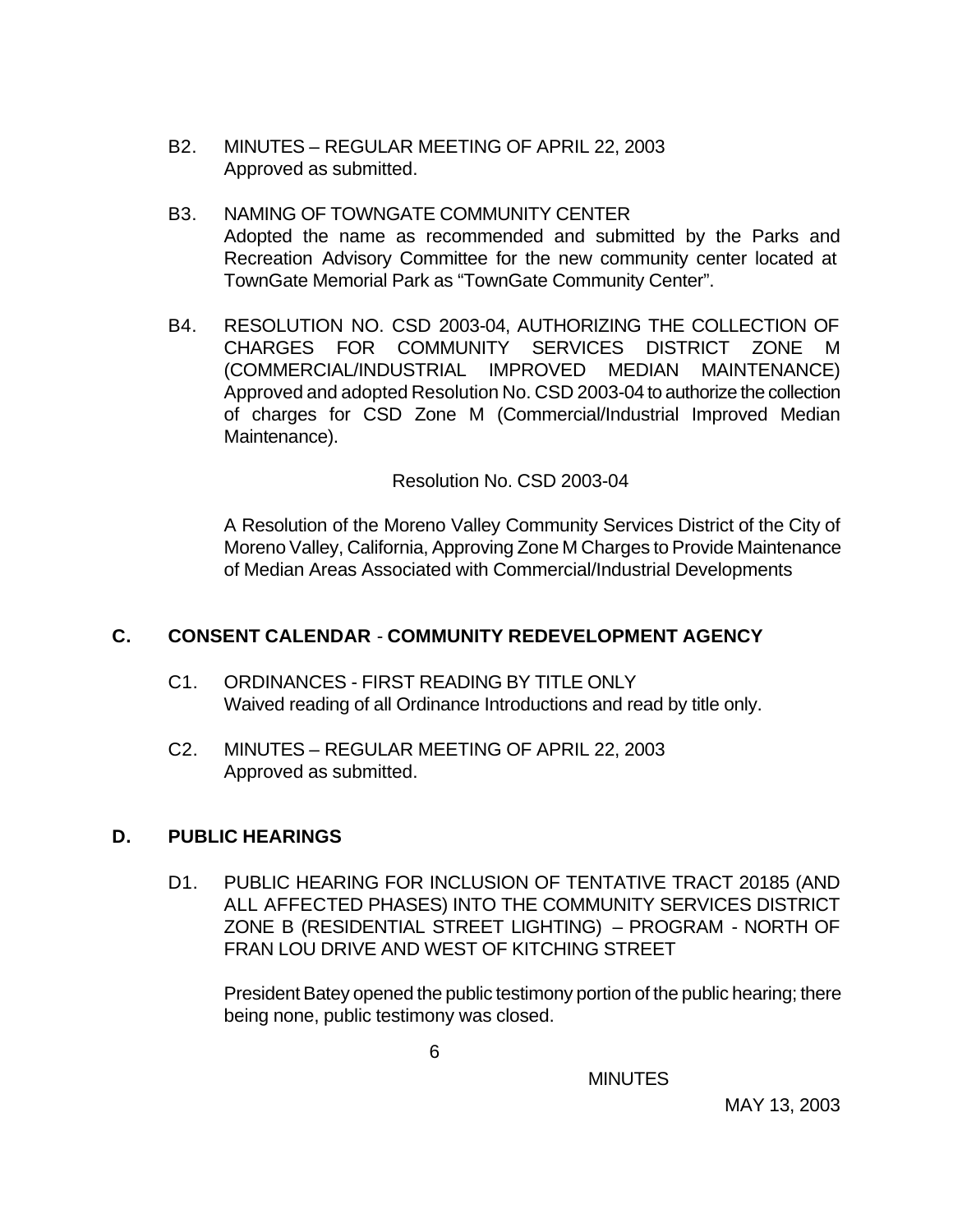- B2. MINUTES REGULAR MEETING OF APRIL 22, 2003 Approved as submitted.
- B3. NAMING OF TOWNGATE COMMUNITY CENTER Adopted the name as recommended and submitted by the Parks and Recreation Advisory Committee for the new community center located at TownGate Memorial Park as "TownGate Community Center".
- B4. RESOLUTION NO. CSD 2003-04, AUTHORIZING THE COLLECTION OF CHARGES FOR COMMUNITY SERVICES DISTRICT ZONE M (COMMERCIAL/INDUSTRIAL IMPROVED MEDIAN MAINTENANCE) Approved and adopted Resolution No. CSD 2003-04 to authorize the collection of charges for CSD Zone M (Commercial/Industrial Improved Median Maintenance).

#### Resolution No. CSD 2003-04

A Resolution of the Moreno Valley Community Services District of the City of Moreno Valley, California, Approving Zone M Charges to Provide Maintenance of Median Areas Associated with Commercial/Industrial Developments

## **C. CONSENT CALENDAR** - **COMMUNITY REDEVELOPMENT AGENCY**

- C1. ORDINANCES FIRST READING BY TITLE ONLY Waived reading of all Ordinance Introductions and read by title only.
- C2. MINUTES REGULAR MEETING OF APRIL 22, 2003 Approved as submitted.

#### **D. PUBLIC HEARINGS**

D1. PUBLIC HEARING FOR INCLUSION OF TENTATIVE TRACT 20185 (AND ALL AFFECTED PHASES) INTO THE COMMUNITY SERVICES DISTRICT ZONE B (RESIDENTIAL STREET LIGHTING) – PROGRAM - NORTH OF FRAN LOU DRIVE AND WEST OF KITCHING STREET

President Batey opened the public testimony portion of the public hearing; there being none, public testimony was closed.

 $\overline{6}$ 

MINUTES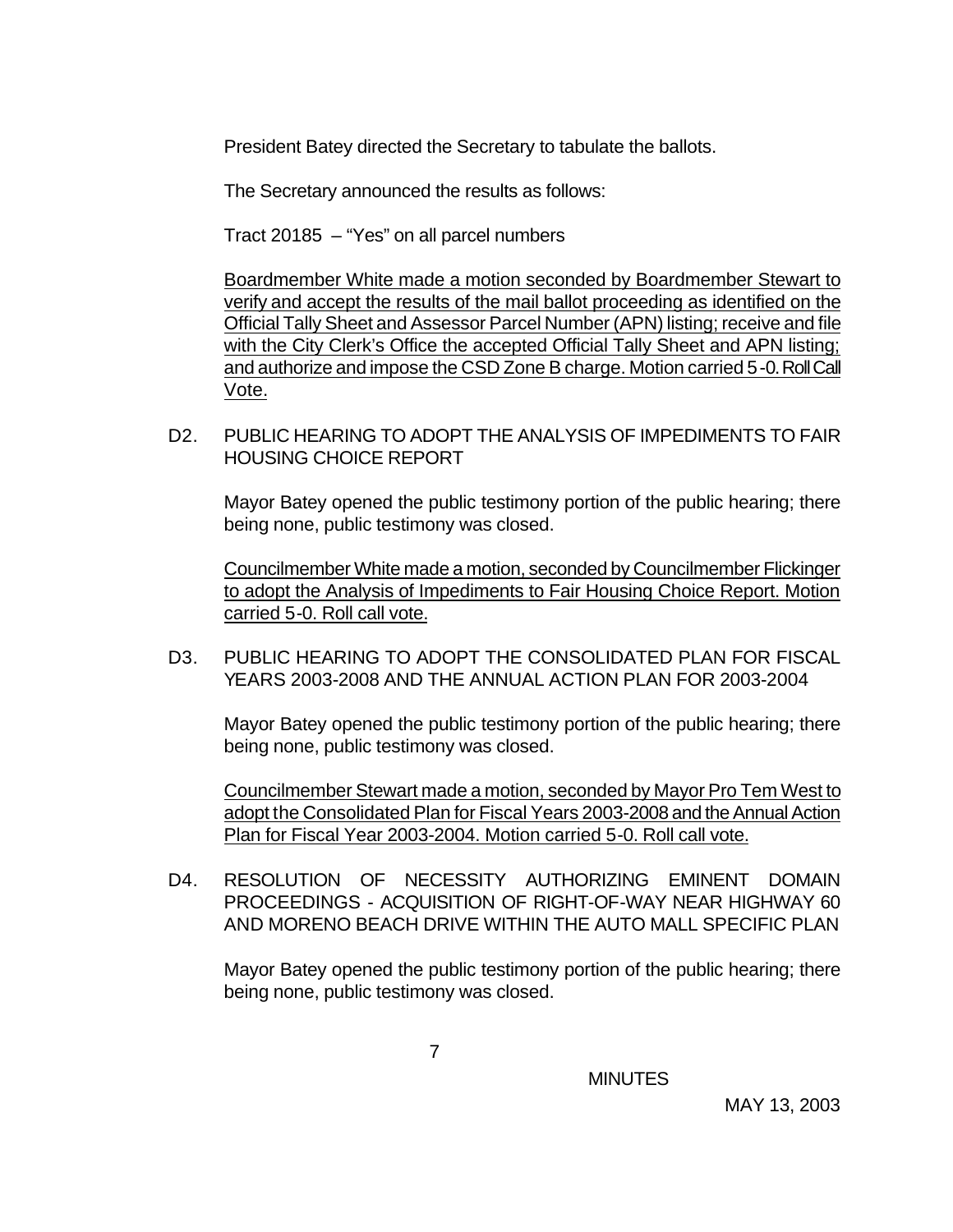President Batey directed the Secretary to tabulate the ballots.

The Secretary announced the results as follows:

Tract 20185 – "Yes" on all parcel numbers

Boardmember White made a motion seconded by Boardmember Stewart to verify and accept the results of the mail ballot proceeding as identified on the Official Tally Sheet and Assessor Parcel Number (APN) listing; receive and file with the City Clerk's Office the accepted Official Tally Sheet and APN listing; and authorize and impose the CSD Zone B charge. Motion carried 5-0. Roll Call Vote.

D2. PUBLIC HEARING TO ADOPT THE ANALYSIS OF IMPEDIMENTS TO FAIR HOUSING CHOICE REPORT

Mayor Batey opened the public testimony portion of the public hearing; there being none, public testimony was closed.

Councilmember White made a motion, seconded by Councilmember Flickinger to adopt the Analysis of Impediments to Fair Housing Choice Report. Motion carried 5-0. Roll call vote.

D3. PUBLIC HEARING TO ADOPT THE CONSOLIDATED PLAN FOR FISCAL YEARS 2003-2008 AND THE ANNUAL ACTION PLAN FOR 2003-2004

Mayor Batey opened the public testimony portion of the public hearing; there being none, public testimony was closed.

Councilmember Stewart made a motion, seconded by Mayor Pro Tem West to adopt the Consolidated Plan for Fiscal Years 2003-2008 and the Annual Action Plan for Fiscal Year 2003-2004. Motion carried 5-0. Roll call vote.

D4. RESOLUTION OF NECESSITY AUTHORIZING EMINENT DOMAIN PROCEEDINGS - ACQUISITION OF RIGHT-OF-WAY NEAR HIGHWAY 60 AND MORENO BEACH DRIVE WITHIN THE AUTO MALL SPECIFIC PLAN

Mayor Batey opened the public testimony portion of the public hearing; there being none, public testimony was closed.

**MINUTES**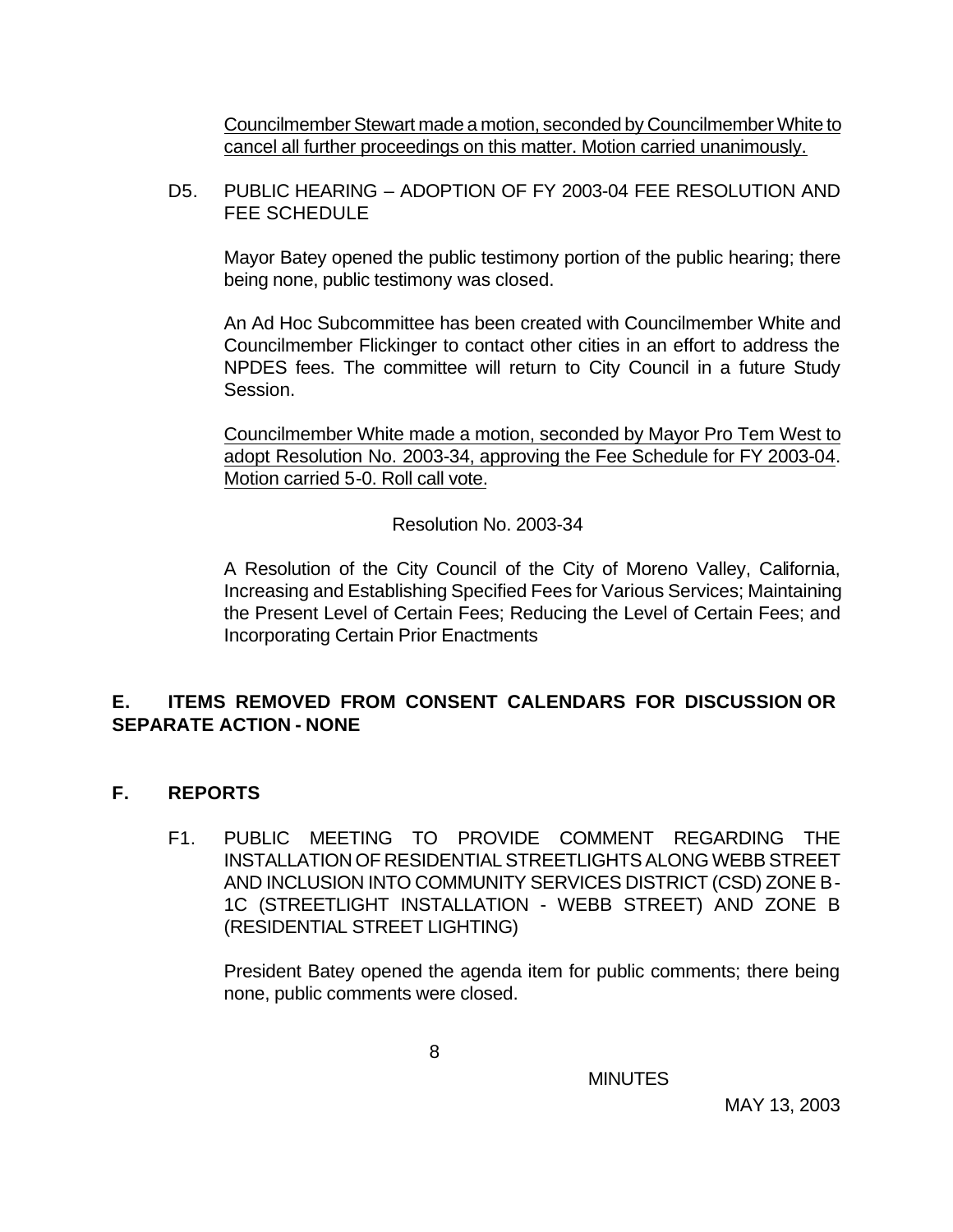Councilmember Stewart made a motion, seconded by Councilmember White to cancel all further proceedings on this matter. Motion carried unanimously.

D5. PUBLIC HEARING – ADOPTION OF FY 2003-04 FEE RESOLUTION AND FEE SCHEDULE

Mayor Batey opened the public testimony portion of the public hearing; there being none, public testimony was closed.

An Ad Hoc Subcommittee has been created with Councilmember White and Councilmember Flickinger to contact other cities in an effort to address the NPDES fees. The committee will return to City Council in a future Study Session.

Councilmember White made a motion, seconded by Mayor Pro Tem West to adopt Resolution No. 2003-34, approving the Fee Schedule for FY 2003-04. Motion carried 5-0. Roll call vote.

Resolution No. 2003-34

A Resolution of the City Council of the City of Moreno Valley, California, Increasing and Establishing Specified Fees for Various Services; Maintaining the Present Level of Certain Fees; Reducing the Level of Certain Fees; and Incorporating Certain Prior Enactments

## **E. ITEMS REMOVED FROM CONSENT CALENDARS FOR DISCUSSION OR SEPARATE ACTION - NONE**

- **F. REPORTS**
	- F1. PUBLIC MEETING TO PROVIDE COMMENT REGARDING THE INSTALLATION OF RESIDENTIAL STREETLIGHTS ALONG WEBB STREET AND INCLUSION INTO COMMUNITY SERVICES DISTRICT (CSD) ZONE B-1C (STREETLIGHT INSTALLATION - WEBB STREET) AND ZONE B (RESIDENTIAL STREET LIGHTING)

President Batey opened the agenda item for public comments; there being none, public comments were closed.

**MINUTES**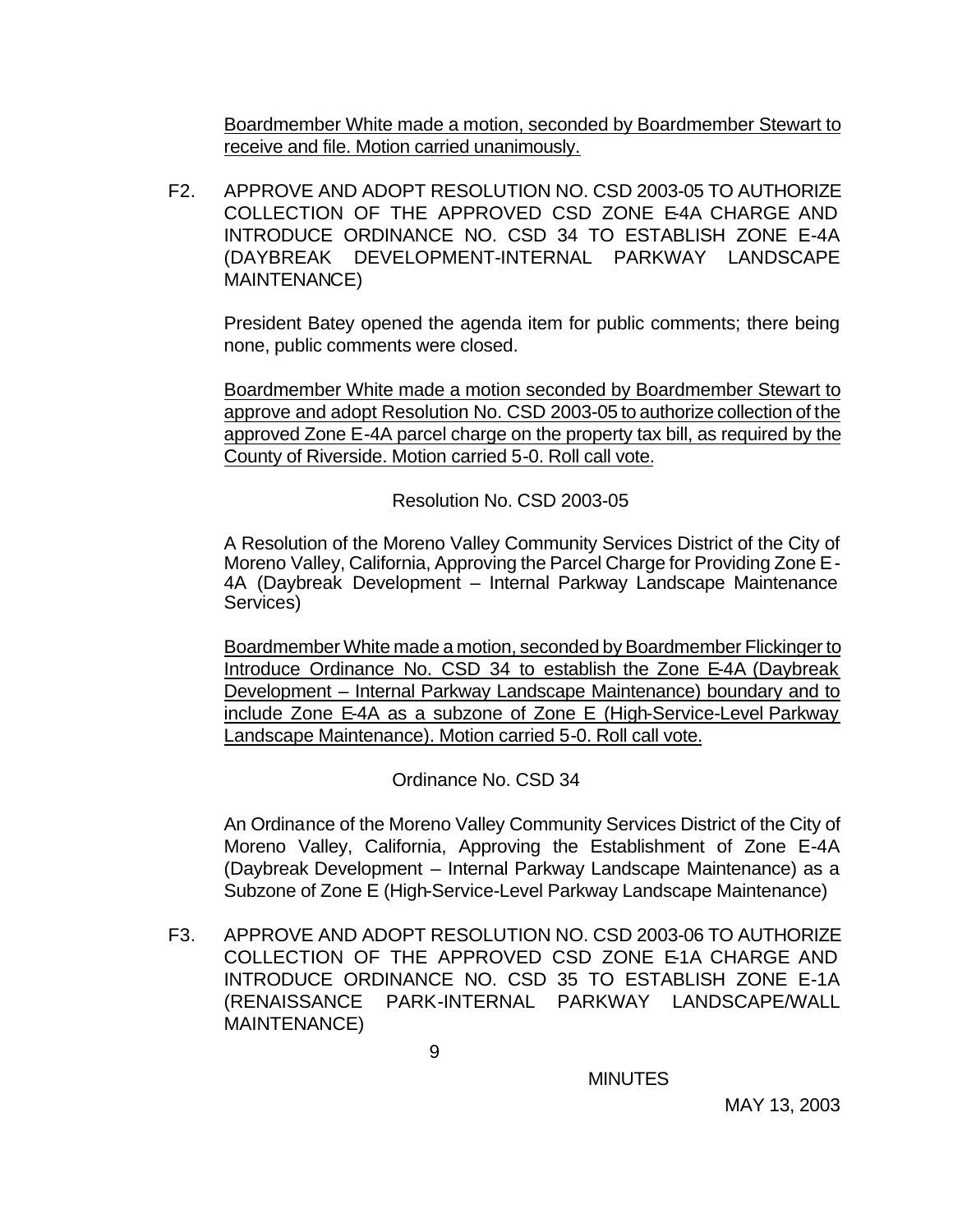Boardmember White made a motion, seconded by Boardmember Stewart to receive and file. Motion carried unanimously.

F2. APPROVE AND ADOPT RESOLUTION NO. CSD 2003-05 TO AUTHORIZE COLLECTION OF THE APPROVED CSD ZONE E-4A CHARGE AND INTRODUCE ORDINANCE NO. CSD 34 TO ESTABLISH ZONE E-4A (DAYBREAK DEVELOPMENT-INTERNAL PARKWAY LANDSCAPE MAINTENANCE)

President Batey opened the agenda item for public comments; there being none, public comments were closed.

Boardmember White made a motion seconded by Boardmember Stewart to approve and adopt Resolution No. CSD 2003-05 to authorize collection of the approved Zone E-4A parcel charge on the property tax bill, as required by the County of Riverside. Motion carried 5-0. Roll call vote.

Resolution No. CSD 2003-05

A Resolution of the Moreno Valley Community Services District of the City of Moreno Valley, California, Approving the Parcel Charge for Providing Zone E-4A (Daybreak Development – Internal Parkway Landscape Maintenance Services)

Boardmember White made a motion, seconded by Boardmember Flickinger to Introduce Ordinance No. CSD 34 to establish the Zone E-4A (Daybreak Development – Internal Parkway Landscape Maintenance) boundary and to include Zone E-4A as a subzone of Zone E (High-Service-Level Parkway Landscape Maintenance). Motion carried 5-0. Roll call vote.

Ordinance No. CSD 34

An Ordinance of the Moreno Valley Community Services District of the City of Moreno Valley, California, Approving the Establishment of Zone E-4A (Daybreak Development – Internal Parkway Landscape Maintenance) as a Subzone of Zone E (High-Service-Level Parkway Landscape Maintenance)

F3. APPROVE AND ADOPT RESOLUTION NO. CSD 2003-06 TO AUTHORIZE COLLECTION OF THE APPROVED CSD ZONE E-1A CHARGE AND INTRODUCE ORDINANCE NO. CSD 35 TO ESTABLISH ZONE E-1A (RENAISSANCE PARK-INTERNAL PARKWAY LANDSCAPE/WALL MAINTENANCE)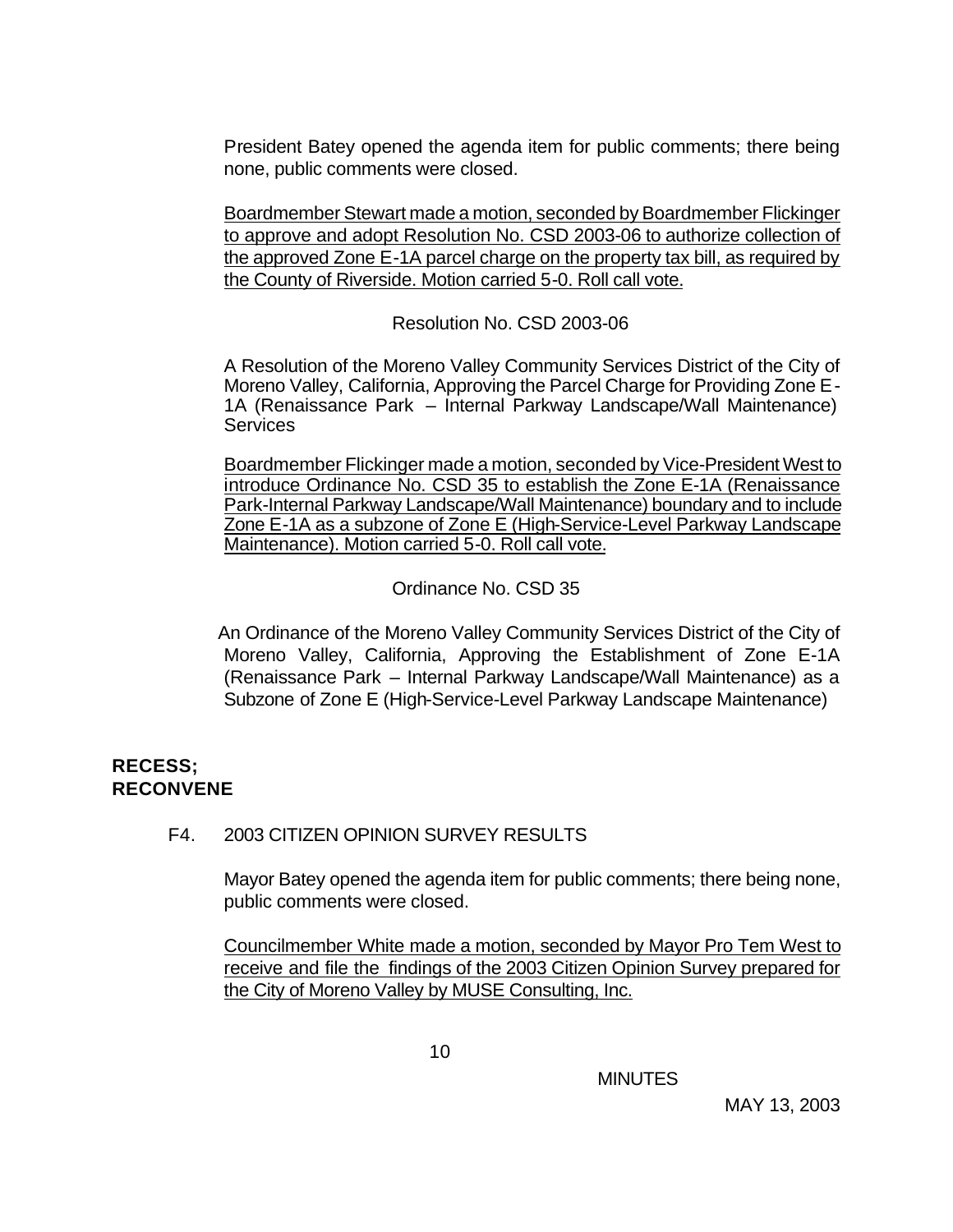President Batey opened the agenda item for public comments; there being none, public comments were closed.

Boardmember Stewart made a motion, seconded by Boardmember Flickinger to approve and adopt Resolution No. CSD 2003-06 to authorize collection of the approved Zone E-1A parcel charge on the property tax bill, as required by the County of Riverside. Motion carried 5-0. Roll call vote.

Resolution No. CSD 2003-06

A Resolution of the Moreno Valley Community Services District of the City of Moreno Valley, California, Approving the Parcel Charge for Providing Zone E-1A (Renaissance Park – Internal Parkway Landscape/Wall Maintenance) **Services** 

Boardmember Flickinger made a motion, seconded by Vice-President West to introduce Ordinance No. CSD 35 to establish the Zone E-1A (Renaissance Park-Internal Parkway Landscape/Wall Maintenance) boundary and to include Zone E-1A as a subzone of Zone E (High-Service-Level Parkway Landscape Maintenance). Motion carried 5-0. Roll call vote.

Ordinance No. CSD 35

 An Ordinance of the Moreno Valley Community Services District of the City of Moreno Valley, California, Approving the Establishment of Zone E-1A (Renaissance Park – Internal Parkway Landscape/Wall Maintenance) as a Subzone of Zone E (High-Service-Level Parkway Landscape Maintenance)

#### **RECESS; RECONVENE**

## F4. 2003 CITIZEN OPINION SURVEY RESULTS

Mayor Batey opened the agenda item for public comments; there being none, public comments were closed.

Councilmember White made a motion, seconded by Mayor Pro Tem West to receive and file the findings of the 2003 Citizen Opinion Survey prepared for the City of Moreno Valley by MUSE Consulting, Inc.

**MINUTES**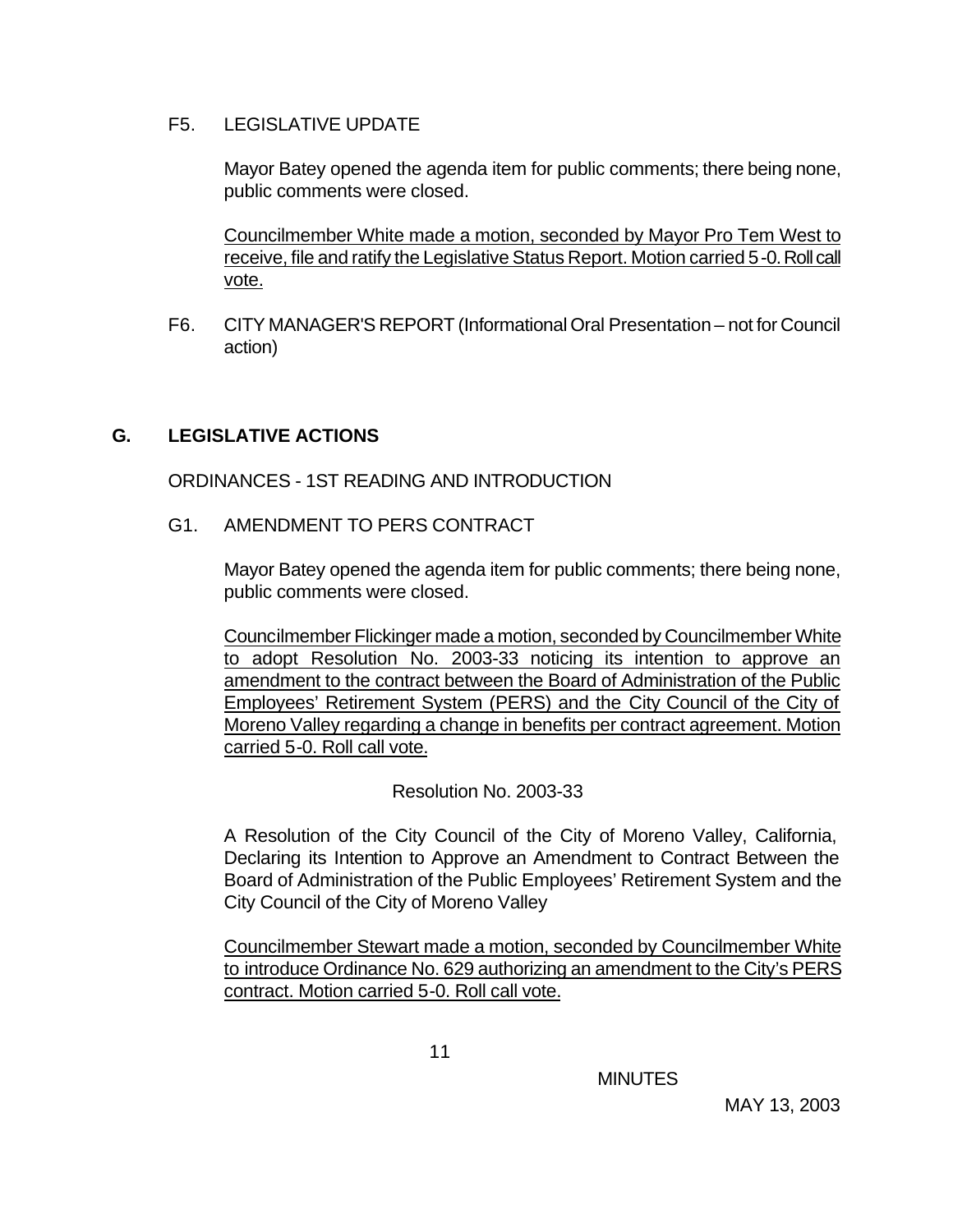#### F5. LEGISLATIVE UPDATE

Mayor Batey opened the agenda item for public comments; there being none, public comments were closed.

Councilmember White made a motion, seconded by Mayor Pro Tem West to receive, file and ratify the Legislative Status Report. Motion carried 5-0. Roll call vote.

F6. CITY MANAGER'S REPORT (Informational Oral Presentation – not for Council action)

## **G. LEGISLATIVE ACTIONS**

ORDINANCES - 1ST READING AND INTRODUCTION

G1. AMENDMENT TO PERS CONTRACT

Mayor Batey opened the agenda item for public comments; there being none, public comments were closed.

Councilmember Flickinger made a motion, seconded by Councilmember White to adopt Resolution No. 2003-33 noticing its intention to approve an amendment to the contract between the Board of Administration of the Public Employees' Retirement System (PERS) and the City Council of the City of Moreno Valley regarding a change in benefits per contract agreement. Motion carried 5-0. Roll call vote.

Resolution No. 2003-33

A Resolution of the City Council of the City of Moreno Valley, California, Declaring its Intention to Approve an Amendment to Contract Between the Board of Administration of the Public Employees' Retirement System and the City Council of the City of Moreno Valley

Councilmember Stewart made a motion, seconded by Councilmember White to introduce Ordinance No. 629 authorizing an amendment to the City's PERS contract. Motion carried 5-0. Roll call vote.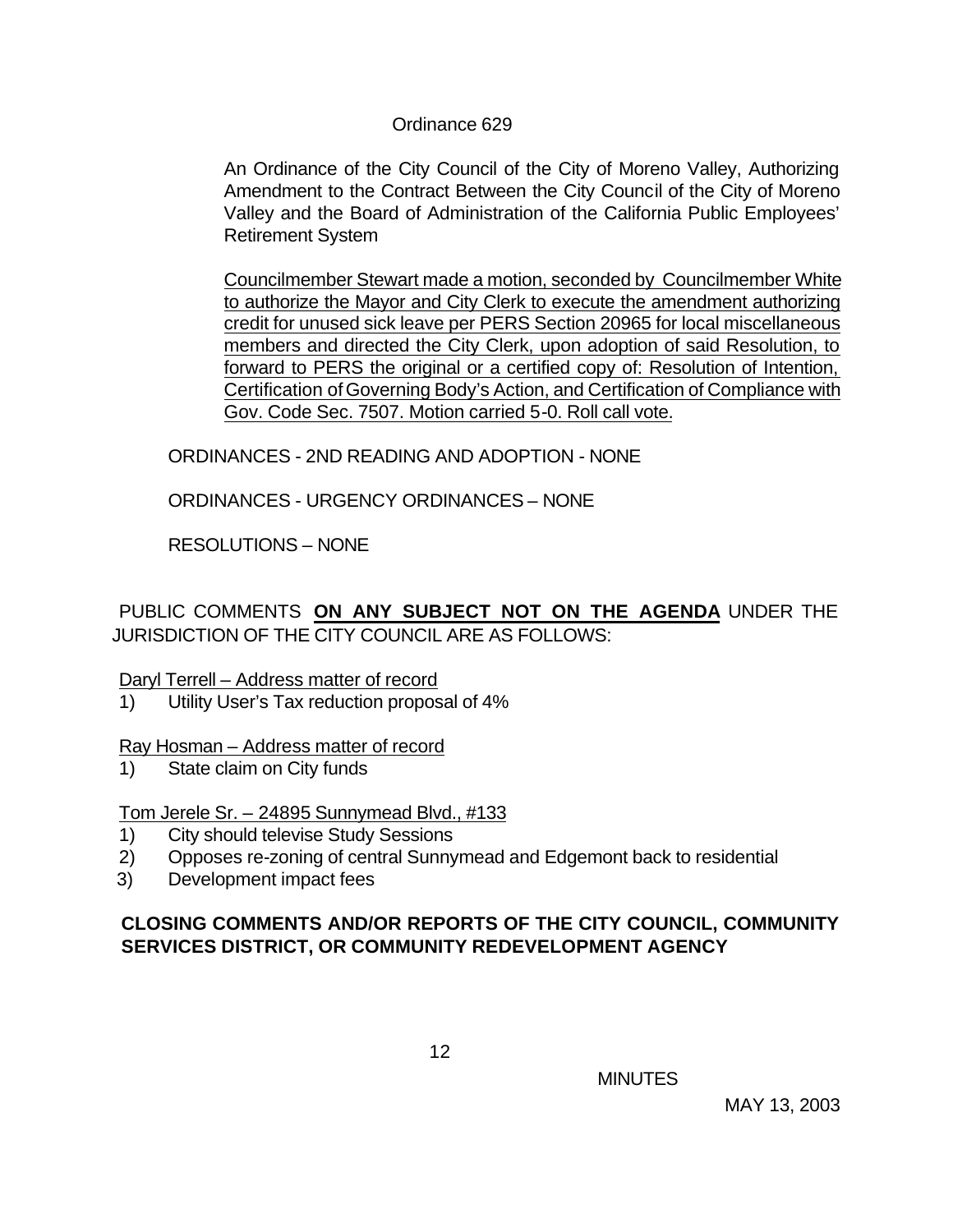#### Ordinance 629

An Ordinance of the City Council of the City of Moreno Valley, Authorizing Amendment to the Contract Between the City Council of the City of Moreno Valley and the Board of Administration of the California Public Employees' Retirement System

Councilmember Stewart made a motion, seconded by Councilmember White to authorize the Mayor and City Clerk to execute the amendment authorizing credit for unused sick leave per PERS Section 20965 for local miscellaneous members and directed the City Clerk, upon adoption of said Resolution, to forward to PERS the original or a certified copy of: Resolution of Intention, Certification of Governing Body's Action, and Certification of Compliance with Gov. Code Sec. 7507. Motion carried 5-0. Roll call vote.

ORDINANCES - 2ND READING AND ADOPTION - NONE

ORDINANCES - URGENCY ORDINANCES – NONE

RESOLUTIONS – NONE

PUBLIC COMMENTS **ON ANY SUBJECT NOT ON THE AGENDA** UNDER THE JURISDICTION OF THE CITY COUNCIL ARE AS FOLLOWS:

#### Daryl Terrell – Address matter of record

1) Utility User's Tax reduction proposal of 4%

## Ray Hosman – Address matter of record

1) State claim on City funds

Tom Jerele Sr. – 24895 Sunnymead Blvd., #133

- 1) City should televise Study Sessions
- 2) Opposes re-zoning of central Sunnymead and Edgemont back to residential
- 3) Development impact fees

## **CLOSING COMMENTS AND/OR REPORTS OF THE CITY COUNCIL, COMMUNITY SERVICES DISTRICT, OR COMMUNITY REDEVELOPMENT AGENCY**

**MINUTES**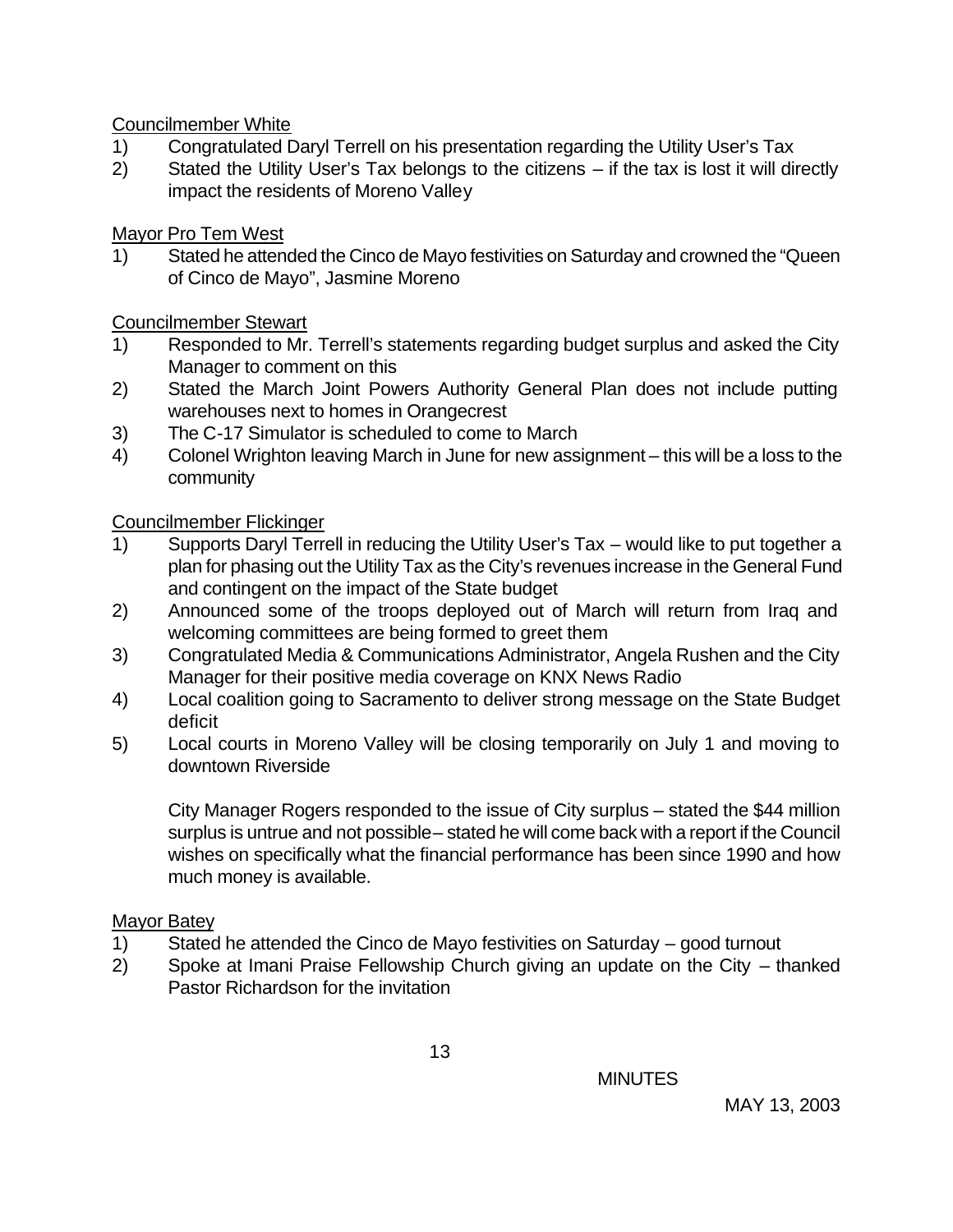Councilmember White

- 1) Congratulated Daryl Terrell on his presentation regarding the Utility User's Tax
- 2) Stated the Utility User's Tax belongs to the citizens if the tax is lost it will directly impact the residents of Moreno Valley

Mayor Pro Tem West

1) Stated he attended the Cinco de Mayo festivities on Saturday and crowned the "Queen of Cinco de Mayo", Jasmine Moreno

Councilmember Stewart

- 1) Responded to Mr. Terrell's statements regarding budget surplus and asked the City Manager to comment on this
- 2) Stated the March Joint Powers Authority General Plan does not include putting warehouses next to homes in Orangecrest
- 3) The C-17 Simulator is scheduled to come to March
- 4) Colonel Wrighton leaving March in June for new assignment this will be a loss to the community

Councilmember Flickinger

- 1) Supports Daryl Terrell in reducing the Utility User's Tax would like to put together a plan for phasing out the Utility Tax as the City's revenues increase in the General Fund and contingent on the impact of the State budget
- 2) Announced some of the troops deployed out of March will return from Iraq and welcoming committees are being formed to greet them
- 3) Congratulated Media & Communications Administrator, Angela Rushen and the City Manager for their positive media coverage on KNX News Radio
- 4) Local coalition going to Sacramento to deliver strong message on the State Budget deficit
- 5) Local courts in Moreno Valley will be closing temporarily on July 1 and moving to downtown Riverside

City Manager Rogers responded to the issue of City surplus – stated the \$44 million surplus is untrue and not possible – stated he will come back with a report if the Council wishes on specifically what the financial performance has been since 1990 and how much money is available.

# Mayor Batey

- 1) Stated he attended the Cinco de Mayo festivities on Saturday good turnout
- 2) Spoke at Imani Praise Fellowship Church giving an update on the City thanked Pastor Richardson for the invitation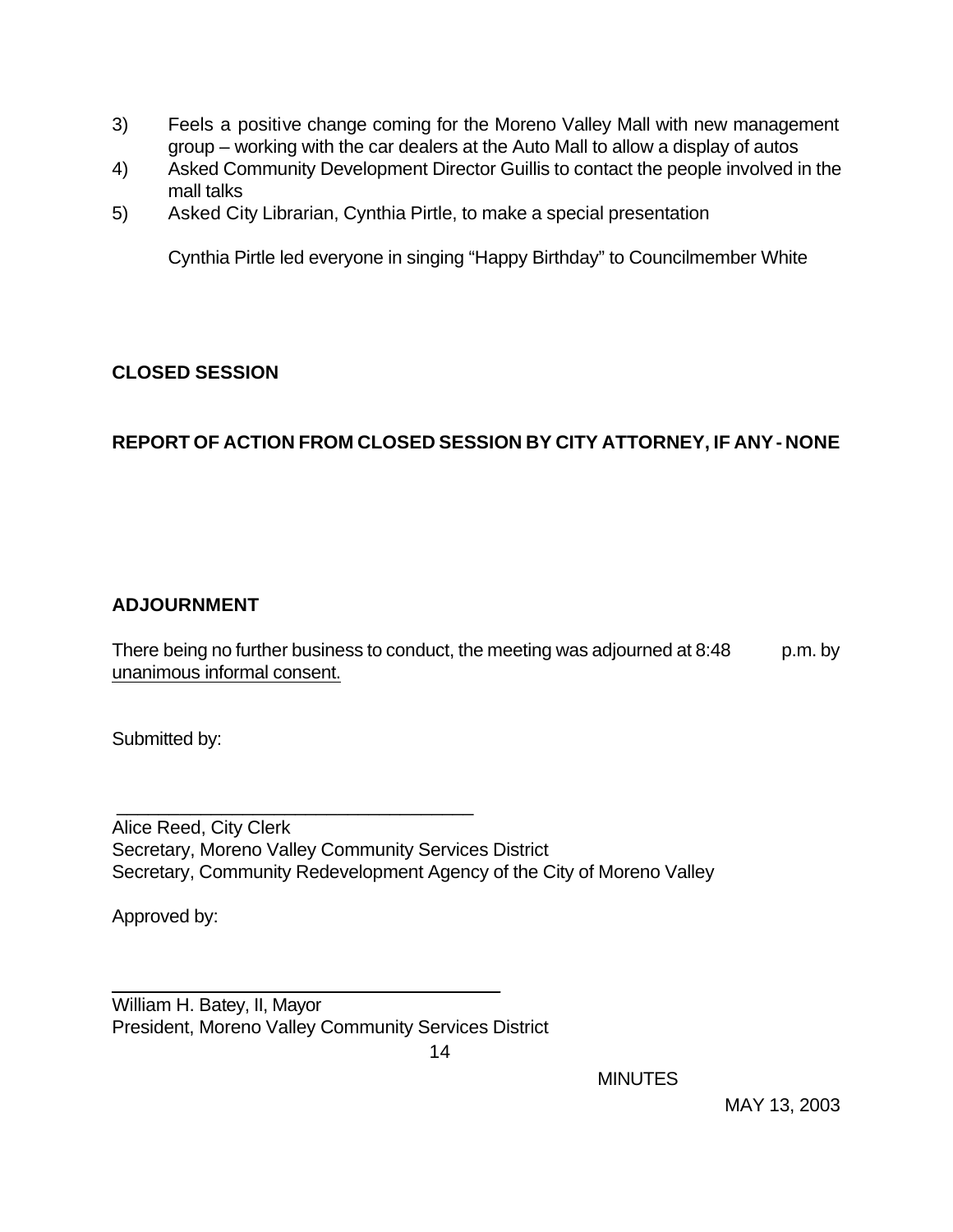- 3) Feels a positive change coming for the Moreno Valley Mall with new management group – working with the car dealers at the Auto Mall to allow a display of autos
- 4) Asked Community Development Director Guillis to contact the people involved in the mall talks
- 5) Asked City Librarian, Cynthia Pirtle, to make a special presentation

Cynthia Pirtle led everyone in singing "Happy Birthday" to Councilmember White

## **CLOSED SESSION**

# **REPORT OF ACTION FROM CLOSED SESSION BY CITY ATTORNEY, IF ANY - NONE**

## **ADJOURNMENT**

There being no further business to conduct, the meeting was adjourned at 8:48 p.m. by unanimous informal consent.

Submitted by:

Alice Reed, City Clerk Secretary, Moreno Valley Community Services District Secretary, Community Redevelopment Agency of the City of Moreno Valley

Approved by:

William H. Batey, II, Mayor President, Moreno Valley Community Services District

\_\_\_\_\_\_\_\_\_\_\_\_\_\_\_\_\_\_\_\_\_\_\_\_\_\_\_\_\_\_\_\_\_\_\_\_\_

\_\_\_\_\_\_\_\_\_\_\_\_\_\_\_\_\_\_\_\_\_\_\_\_\_\_\_\_\_\_\_\_\_\_

**MINUTES**